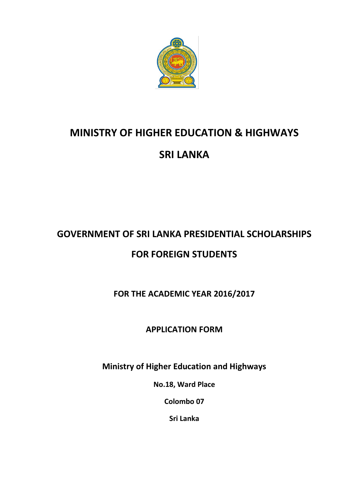

## **MINISTRY OF HIGHER EDUCATION & HIGHWAYS SRI LANKA**

# **GOVERNMENT OF SRI LANKA PRESIDENTIAL SCHOLARSHIPS**

## **FOR FOREIGN STUDENTS**

**FOR THE ACADEMIC YEAR 2016/2017**

## **APPLICATION FORM**

**Ministry of Higher Education and Highways**

**No.18, Ward Place**

**Colombo 07**

**Sri Lanka**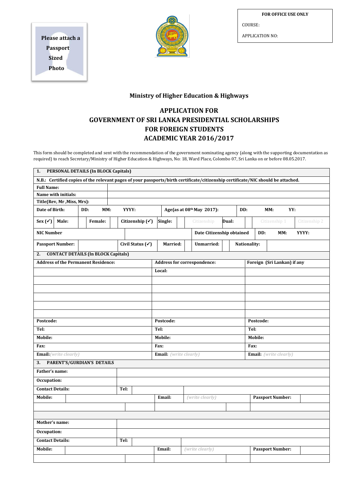**FOR OFFICE USE ONLY**

COURSE:

APPLICATION NO:

**Please attach a Passport Sized Photo**



#### **Ministry of Higher Education & Highways**

#### **APPLICATION FOR GOVERNMENT OF SRI LANKA PRESIDENTIAL SCHOLARSHIPS FOR FOREIGN STUDENTS ACADEMIC YEAR 2016/2017**

This form should be completed and sent with the recommendation of the government nominating agency (along with the supporting documentation as required) to reach Secretary/Ministry of Higher Education & Highways, No: 18, Ward Place, Colombo 07, Sri Lanka on or before 08.05.2017.

| N.B.: Certified copies of the relevant pages of your passports/birth certificate/citizenship certificate/NIC should be attached.<br><b>Full Name:</b> |                           |                                |
|-------------------------------------------------------------------------------------------------------------------------------------------------------|---------------------------|--------------------------------|
|                                                                                                                                                       |                           |                                |
|                                                                                                                                                       |                           |                                |
| Name with initials:                                                                                                                                   |                           |                                |
| Title(Rev, Mr, Miss, Mrs):                                                                                                                            |                           |                                |
| Date of Birth:<br>DD:<br>MM:<br>YYYY:                                                                                                                 | Age(as at 08th May 2017): | DD:<br>MM:<br>YY:              |
| Sex $(\checkmark)$<br>Male:<br>Female:<br>Citizenship $(\checkmark)$<br>Single:                                                                       | Dual:<br>Citizenship      | Citizenship 1<br>Citizenship 2 |
| <b>NIC Number</b>                                                                                                                                     | Date Citizenship obtained | DD:<br>MM:<br>YYYY:            |
| <b>Passport Number:</b><br>Civil Status (√)<br>Married:                                                                                               | Unmarried:                | Nationality:                   |
| <b>CONTACT DETAILS (In BLOCK Capitals)</b><br>2.                                                                                                      |                           |                                |
| <b>Address of the Permanent Residence:</b><br>Address for correspondence:                                                                             |                           | Foreign (Sri Lankan) if any    |
| Local:                                                                                                                                                |                           |                                |
|                                                                                                                                                       |                           |                                |
|                                                                                                                                                       |                           |                                |
|                                                                                                                                                       |                           |                                |
|                                                                                                                                                       |                           |                                |
|                                                                                                                                                       |                           |                                |
| Postcode:<br>Postcode:                                                                                                                                |                           | Postcode:                      |
| Tel:<br>Tel:                                                                                                                                          |                           | Tel:                           |
| Mobile:<br>Mobile:                                                                                                                                    |                           | <b>Mobile:</b>                 |
| Fax:<br>Fax:                                                                                                                                          |                           | Fax:                           |
| <b>Email:</b> (write clearly)                                                                                                                         |                           |                                |
| <b>Email:</b> (write clearly)                                                                                                                         |                           | <b>Email:</b> (write clearly)  |
| PARENT'S/GURDIAN'S DETAILS<br>3.<br>Father's name:                                                                                                    |                           |                                |
|                                                                                                                                                       |                           |                                |
| Occupation:                                                                                                                                           |                           |                                |
| <b>Contact Details:</b><br>Tel:                                                                                                                       |                           |                                |
| Mobile:<br>Email:                                                                                                                                     | (write clearly)           | <b>Passport Number:</b>        |
|                                                                                                                                                       |                           |                                |
|                                                                                                                                                       |                           |                                |
| Mother's name:                                                                                                                                        |                           |                                |
| Occupation:                                                                                                                                           |                           |                                |
| <b>Contact Details:</b><br>Tel:                                                                                                                       |                           |                                |
|                                                                                                                                                       |                           |                                |
| Mobile:<br>Email:                                                                                                                                     | (write clearly)           | <b>Passport Number:</b>        |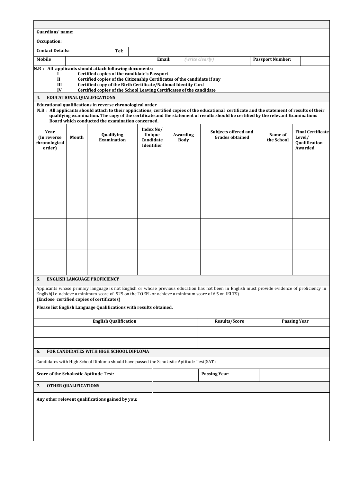| Guardians' name:                                                                                                 |                                     |                                                                                                                                                                                                                                                                    |                              |                                                       |        |  |                         |                                                                                                                                                                                                                                                                                      |                         |                                                                |
|------------------------------------------------------------------------------------------------------------------|-------------------------------------|--------------------------------------------------------------------------------------------------------------------------------------------------------------------------------------------------------------------------------------------------------------------|------------------------------|-------------------------------------------------------|--------|--|-------------------------|--------------------------------------------------------------------------------------------------------------------------------------------------------------------------------------------------------------------------------------------------------------------------------------|-------------------------|----------------------------------------------------------------|
| Occupation:                                                                                                      |                                     |                                                                                                                                                                                                                                                                    |                              |                                                       |        |  |                         |                                                                                                                                                                                                                                                                                      |                         |                                                                |
| <b>Contact Details:</b>                                                                                          |                                     |                                                                                                                                                                                                                                                                    | Tel:                         |                                                       |        |  |                         |                                                                                                                                                                                                                                                                                      |                         |                                                                |
| Mobile                                                                                                           |                                     |                                                                                                                                                                                                                                                                    |                              |                                                       | Email: |  | (write clearly)         |                                                                                                                                                                                                                                                                                      | <b>Passport Number:</b> |                                                                |
| N.B : All applicants should attach following documents;<br>-<br>$\mathbf{I}$<br>Ш<br>IV                          |                                     | Certified copies of the candidate's Passport<br>Certified copies of the Citizenship Certificates of the candidate if any<br>Certified copy of the Birth Certificate/National Identity Card<br>Certified copies of the School Leaving Certificates of the candidate |                              |                                                       |        |  |                         |                                                                                                                                                                                                                                                                                      |                         |                                                                |
| 4.                                                                                                               |                                     | <b>EDUCATIONAL QUALIFICATIONS</b>                                                                                                                                                                                                                                  |                              |                                                       |        |  |                         |                                                                                                                                                                                                                                                                                      |                         |                                                                |
| Educational qualifications in reverse chronological order                                                        |                                     | Board which conducted the examination concerned.                                                                                                                                                                                                                   |                              |                                                       |        |  |                         | N.B : All applicants should attach to their applications, certified copies of the educational certificate and the statement of results of their<br>qualifying examination. The copy of the certificate and the statement of results should be certified by the relevant Examinations |                         |                                                                |
| Year<br>(In reverse)<br>chronological<br>order)                                                                  | Month                               |                                                                                                                                                                                                                                                                    | Qualifying<br>Examination    | Index No/<br>Unique<br>Candidate<br><b>Identifier</b> |        |  | Awarding<br><b>Body</b> | Subjects offered and<br><b>Grades obtained</b>                                                                                                                                                                                                                                       | Name of<br>the School   | <b>Final Certificate</b><br>Level/<br>Qualification<br>Awarded |
|                                                                                                                  |                                     |                                                                                                                                                                                                                                                                    |                              |                                                       |        |  |                         |                                                                                                                                                                                                                                                                                      |                         |                                                                |
|                                                                                                                  |                                     |                                                                                                                                                                                                                                                                    |                              |                                                       |        |  |                         |                                                                                                                                                                                                                                                                                      |                         |                                                                |
|                                                                                                                  |                                     |                                                                                                                                                                                                                                                                    |                              |                                                       |        |  |                         |                                                                                                                                                                                                                                                                                      |                         |                                                                |
| 5.                                                                                                               | <b>ENGLISH LANGUAGE PROFICIENCY</b> |                                                                                                                                                                                                                                                                    |                              |                                                       |        |  |                         |                                                                                                                                                                                                                                                                                      |                         |                                                                |
| (Enclose certified copies of certificates)<br>Please list English Language Qualifications with results obtained. |                                     |                                                                                                                                                                                                                                                                    |                              |                                                       |        |  |                         | Applicants whose primary language is not English or whose previous education has not been in English must provide evidence of proficiency in<br>English(i.e. achieve a minimum score of 525 on the TOEFL or achieve a minimum score of 6.5 on IELTS)                                 |                         |                                                                |
|                                                                                                                  |                                     |                                                                                                                                                                                                                                                                    | <b>English Qualification</b> |                                                       |        |  |                         | <b>Results/Score</b>                                                                                                                                                                                                                                                                 | <b>Passing Year</b>     |                                                                |
|                                                                                                                  |                                     |                                                                                                                                                                                                                                                                    |                              |                                                       |        |  |                         |                                                                                                                                                                                                                                                                                      |                         |                                                                |
|                                                                                                                  |                                     |                                                                                                                                                                                                                                                                    |                              |                                                       |        |  |                         |                                                                                                                                                                                                                                                                                      |                         |                                                                |
| 6.                                                                                                               |                                     | FOR CANDIDATES WITH HIGH SCHOOL DIPLOMA                                                                                                                                                                                                                            |                              |                                                       |        |  |                         |                                                                                                                                                                                                                                                                                      |                         |                                                                |
| Candidates with High School Diploma should have passed the Scholastic Aptitude Test(SAT)                         |                                     |                                                                                                                                                                                                                                                                    |                              |                                                       |        |  |                         |                                                                                                                                                                                                                                                                                      |                         |                                                                |
| Score of the Scholastic Aptitude Test:                                                                           |                                     |                                                                                                                                                                                                                                                                    |                              |                                                       |        |  |                         | <b>Passing Year:</b>                                                                                                                                                                                                                                                                 |                         |                                                                |
| 7.                                                                                                               | <b>OTHER QUALIFICATIONS</b>         |                                                                                                                                                                                                                                                                    |                              |                                                       |        |  |                         |                                                                                                                                                                                                                                                                                      |                         |                                                                |
| Any other relevent qualifications gained by you:                                                                 |                                     |                                                                                                                                                                                                                                                                    |                              |                                                       |        |  |                         |                                                                                                                                                                                                                                                                                      |                         |                                                                |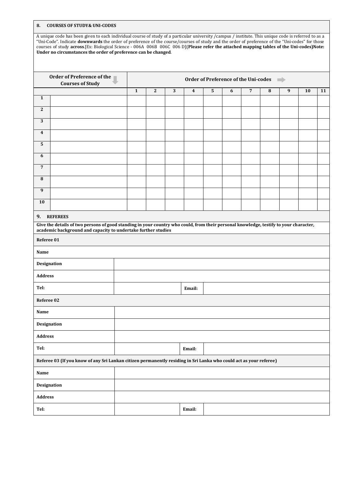**8. COURSES OF STUDY& UNI-CODES**

A unique code has been given to each individual course of study of a particular university /campus / institute. This unique code is referred to as a "Uni-Code". Indicate **downwards** the order of preference of the course/courses of study and the order of preference of the "Uni-codes" for those courses of study **across**.[Ex: Biological Science - 006A 006B 006C 006 D](**Please refer the attached mapping tables of the Uni-codes)Note: Under no circumstances the order of preference can be changed**.

|                    | <b>Order of Preference of the</b><br><b>Courses of Study</b>                                                                                                                                           | Order of Preference of the Uni-codes |   |   |                         |           |   |                |   |   |    |    |
|--------------------|--------------------------------------------------------------------------------------------------------------------------------------------------------------------------------------------------------|--------------------------------------|---|---|-------------------------|-----------|---|----------------|---|---|----|----|
|                    |                                                                                                                                                                                                        | $\mathbf{1}$                         | 2 | 3 | $\overline{\mathbf{4}}$ | ${\bf 5}$ | 6 | $\overline{7}$ | 8 | 9 | 10 | 11 |
| $\mathbf{1}$       |                                                                                                                                                                                                        |                                      |   |   |                         |           |   |                |   |   |    |    |
| $\mathbf{2}$       |                                                                                                                                                                                                        |                                      |   |   |                         |           |   |                |   |   |    |    |
| 3                  |                                                                                                                                                                                                        |                                      |   |   |                         |           |   |                |   |   |    |    |
| 4                  |                                                                                                                                                                                                        |                                      |   |   |                         |           |   |                |   |   |    |    |
| 5                  |                                                                                                                                                                                                        |                                      |   |   |                         |           |   |                |   |   |    |    |
| 6                  |                                                                                                                                                                                                        |                                      |   |   |                         |           |   |                |   |   |    |    |
| $\overline{7}$     |                                                                                                                                                                                                        |                                      |   |   |                         |           |   |                |   |   |    |    |
| 8                  |                                                                                                                                                                                                        |                                      |   |   |                         |           |   |                |   |   |    |    |
| $\boldsymbol{9}$   |                                                                                                                                                                                                        |                                      |   |   |                         |           |   |                |   |   |    |    |
| 10                 |                                                                                                                                                                                                        |                                      |   |   |                         |           |   |                |   |   |    |    |
| 9.                 | <b>REFEREES</b>                                                                                                                                                                                        |                                      |   |   |                         |           |   |                |   |   |    |    |
|                    | Give the details of two persons of good standing in your country who could, from their personal knowledge, testify to your character,<br>academic background and capacity to undertake further studies |                                      |   |   |                         |           |   |                |   |   |    |    |
| Referee 01         |                                                                                                                                                                                                        |                                      |   |   |                         |           |   |                |   |   |    |    |
| Name               |                                                                                                                                                                                                        |                                      |   |   |                         |           |   |                |   |   |    |    |
| Designation        |                                                                                                                                                                                                        |                                      |   |   |                         |           |   |                |   |   |    |    |
| <b>Address</b>     |                                                                                                                                                                                                        |                                      |   |   |                         |           |   |                |   |   |    |    |
| Tel:               |                                                                                                                                                                                                        |                                      |   |   | Email:                  |           |   |                |   |   |    |    |
| Referee 02         |                                                                                                                                                                                                        |                                      |   |   |                         |           |   |                |   |   |    |    |
| Name               |                                                                                                                                                                                                        |                                      |   |   |                         |           |   |                |   |   |    |    |
| <b>Designation</b> |                                                                                                                                                                                                        |                                      |   |   |                         |           |   |                |   |   |    |    |
| <b>Address</b>     |                                                                                                                                                                                                        |                                      |   |   |                         |           |   |                |   |   |    |    |
| Tel:               |                                                                                                                                                                                                        | Email:                               |   |   |                         |           |   |                |   |   |    |    |
|                    | Referee 03 (If you know of any Sri Lankan citizen permanently residing in Sri Lanka who could act as your referee)                                                                                     |                                      |   |   |                         |           |   |                |   |   |    |    |
| Name               |                                                                                                                                                                                                        |                                      |   |   |                         |           |   |                |   |   |    |    |
| Designation        |                                                                                                                                                                                                        |                                      |   |   |                         |           |   |                |   |   |    |    |
| Address            |                                                                                                                                                                                                        |                                      |   |   |                         |           |   |                |   |   |    |    |
| Tel:               |                                                                                                                                                                                                        |                                      |   |   | Email:                  |           |   |                |   |   |    |    |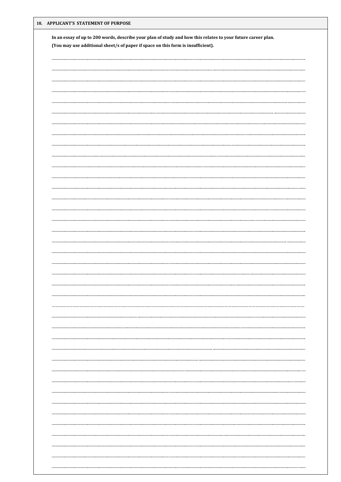| 10. APPLICANT'S STATEMENT OF PURPOSE                                                                         |  |
|--------------------------------------------------------------------------------------------------------------|--|
| In an essay of up to 200 words, describe your plan of study and how this relates to your future career plan. |  |
| (You may use additional sheet/s of paper if space on this form is insufficient).                             |  |
|                                                                                                              |  |
|                                                                                                              |  |
|                                                                                                              |  |
|                                                                                                              |  |
|                                                                                                              |  |
|                                                                                                              |  |
|                                                                                                              |  |
|                                                                                                              |  |
|                                                                                                              |  |
|                                                                                                              |  |
|                                                                                                              |  |
|                                                                                                              |  |
|                                                                                                              |  |
|                                                                                                              |  |
|                                                                                                              |  |
|                                                                                                              |  |
|                                                                                                              |  |
|                                                                                                              |  |
|                                                                                                              |  |
|                                                                                                              |  |
|                                                                                                              |  |
|                                                                                                              |  |
|                                                                                                              |  |
|                                                                                                              |  |
|                                                                                                              |  |
|                                                                                                              |  |
|                                                                                                              |  |
|                                                                                                              |  |
|                                                                                                              |  |
|                                                                                                              |  |
|                                                                                                              |  |
|                                                                                                              |  |
|                                                                                                              |  |
|                                                                                                              |  |
|                                                                                                              |  |
|                                                                                                              |  |
|                                                                                                              |  |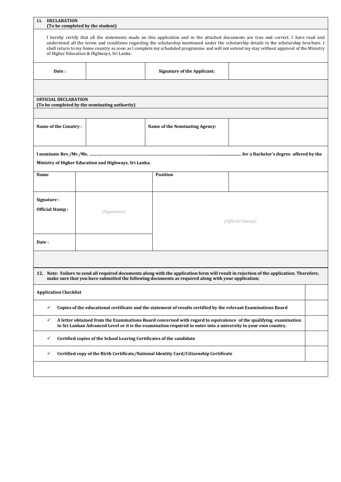| 11. DECLARATION                                                                                                                                                                                                                                                                                                                                                                                                                                                              | (To be completed by the student)                                     |                                                                                                                                                                                                                                                |  |  |  |  |  |  |  |  |
|------------------------------------------------------------------------------------------------------------------------------------------------------------------------------------------------------------------------------------------------------------------------------------------------------------------------------------------------------------------------------------------------------------------------------------------------------------------------------|----------------------------------------------------------------------|------------------------------------------------------------------------------------------------------------------------------------------------------------------------------------------------------------------------------------------------|--|--|--|--|--|--|--|--|
| I hereby certify that all the statements made on this application and in the attached documents are true and correct. I have read and<br>understood all the terms and conditions regarding the scholarship mentioned under the scholarship details in the scholarship brochure. I<br>shall return to my home country as soon as I complete my scheduled programme and will not extend my stay without approval of the Ministry<br>of Higher Education & Highways, Sri Lanka. |                                                                      |                                                                                                                                                                                                                                                |  |  |  |  |  |  |  |  |
| Date:                                                                                                                                                                                                                                                                                                                                                                                                                                                                        | <b>Signature of the Applicant:</b>                                   |                                                                                                                                                                                                                                                |  |  |  |  |  |  |  |  |
|                                                                                                                                                                                                                                                                                                                                                                                                                                                                              |                                                                      |                                                                                                                                                                                                                                                |  |  |  |  |  |  |  |  |
| <b>OFFICIAL DECLARATION</b>                                                                                                                                                                                                                                                                                                                                                                                                                                                  | (To be completed by the nominating authority)                        |                                                                                                                                                                                                                                                |  |  |  |  |  |  |  |  |
| Name of the Country:                                                                                                                                                                                                                                                                                                                                                                                                                                                         |                                                                      | Name of the Nominating Agency:                                                                                                                                                                                                                 |  |  |  |  |  |  |  |  |
| Ministry of Higher Education and Highways, Sri Lanka.                                                                                                                                                                                                                                                                                                                                                                                                                        |                                                                      |                                                                                                                                                                                                                                                |  |  |  |  |  |  |  |  |
| Name                                                                                                                                                                                                                                                                                                                                                                                                                                                                         |                                                                      | <b>Position</b>                                                                                                                                                                                                                                |  |  |  |  |  |  |  |  |
| Signature:<br><b>Official Stamp:</b>                                                                                                                                                                                                                                                                                                                                                                                                                                         | (Signature)<br>(Official Stamp)                                      |                                                                                                                                                                                                                                                |  |  |  |  |  |  |  |  |
| Date:                                                                                                                                                                                                                                                                                                                                                                                                                                                                        |                                                                      |                                                                                                                                                                                                                                                |  |  |  |  |  |  |  |  |
|                                                                                                                                                                                                                                                                                                                                                                                                                                                                              |                                                                      | 12. Note: Failure to send all required documents along with the application form will result in rejection of the application. Therefore,<br>make sure that you have submitted the following documents as required along with your application; |  |  |  |  |  |  |  |  |
| <b>Application Checklist</b>                                                                                                                                                                                                                                                                                                                                                                                                                                                 |                                                                      |                                                                                                                                                                                                                                                |  |  |  |  |  |  |  |  |
| ✓                                                                                                                                                                                                                                                                                                                                                                                                                                                                            |                                                                      | Copies of the educational certificate and the statement of results certified by the relevant Examinations Board                                                                                                                                |  |  |  |  |  |  |  |  |
| ✓                                                                                                                                                                                                                                                                                                                                                                                                                                                                            |                                                                      | A letter obtained from the Examinations Board concerned with regard to equivalence of the qualifying examination<br>to Sri Lankan Advanced Level or it is the examination required to enter into a university in your own country.             |  |  |  |  |  |  |  |  |
| ✓                                                                                                                                                                                                                                                                                                                                                                                                                                                                            | Certified copies of the School Leaving Certificates of the candidate |                                                                                                                                                                                                                                                |  |  |  |  |  |  |  |  |
| ✓                                                                                                                                                                                                                                                                                                                                                                                                                                                                            |                                                                      | Certified copy of the Birth Certificate/National Identity Card/Citizenship Certificate                                                                                                                                                         |  |  |  |  |  |  |  |  |
|                                                                                                                                                                                                                                                                                                                                                                                                                                                                              |                                                                      |                                                                                                                                                                                                                                                |  |  |  |  |  |  |  |  |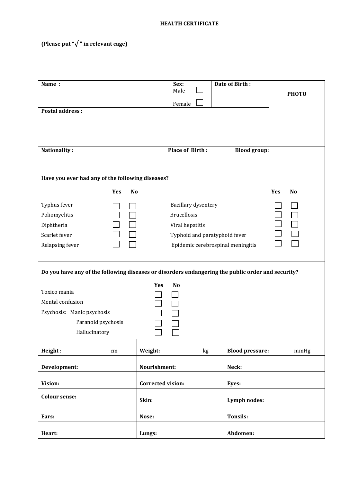#### **HEALTH CERTIFICATE**

### **(Please put "√ " in relevant cage)**

| Name:                                            |                                                                                                   | Sex:<br>Male                      |  | Date of Birth:         |                       |  |  |  |
|--------------------------------------------------|---------------------------------------------------------------------------------------------------|-----------------------------------|--|------------------------|-----------------------|--|--|--|
|                                                  |                                                                                                   | Female                            |  |                        | <b>РНОТО</b>          |  |  |  |
| <b>Postal address:</b>                           |                                                                                                   |                                   |  |                        |                       |  |  |  |
|                                                  |                                                                                                   |                                   |  |                        |                       |  |  |  |
|                                                  |                                                                                                   |                                   |  |                        |                       |  |  |  |
| Nationality:                                     |                                                                                                   | <b>Place of Birth:</b>            |  | <b>Blood group:</b>    |                       |  |  |  |
|                                                  |                                                                                                   |                                   |  |                        |                       |  |  |  |
| Have you ever had any of the following diseases? |                                                                                                   |                                   |  |                        |                       |  |  |  |
| Yes                                              | <b>No</b>                                                                                         |                                   |  |                        | Yes<br>N <sub>o</sub> |  |  |  |
| Typhus fever                                     |                                                                                                   | Bacillary dysentery               |  |                        |                       |  |  |  |
| Poliomyelitis                                    |                                                                                                   | <b>Brucellosis</b>                |  |                        |                       |  |  |  |
| Diphtheria                                       |                                                                                                   | Viral hepatitis                   |  |                        |                       |  |  |  |
| Scarlet fever                                    |                                                                                                   | Typhoid and paratyphoid fever     |  |                        |                       |  |  |  |
| Relapsing fever                                  |                                                                                                   | Epidemic cerebrospinal meningitis |  |                        |                       |  |  |  |
|                                                  | Do you have any of the following diseases or disorders endangering the public order and security? |                                   |  |                        |                       |  |  |  |
|                                                  | Yes                                                                                               | N <sub>o</sub>                    |  |                        |                       |  |  |  |
| Toxico mania<br>Mental confusion                 |                                                                                                   |                                   |  |                        |                       |  |  |  |
| Psychosis: Manic psychosis                       |                                                                                                   |                                   |  |                        |                       |  |  |  |
| Paranoid psychosis                               |                                                                                                   |                                   |  |                        |                       |  |  |  |
| Hallucinatory                                    |                                                                                                   |                                   |  |                        |                       |  |  |  |
| Height:<br>cm                                    | Weight:                                                                                           | kg                                |  | <b>Blood pressure:</b> | mmHg                  |  |  |  |
| Development:                                     | Nourishment:                                                                                      |                                   |  | Neck:                  |                       |  |  |  |
| Vision:                                          | <b>Corrected vision:</b>                                                                          |                                   |  | Eyes:                  |                       |  |  |  |
| <b>Colour sense:</b>                             | Skin:                                                                                             |                                   |  | Lymph nodes:           |                       |  |  |  |
| Ears:                                            | Nose:                                                                                             |                                   |  | <b>Tonsils:</b>        |                       |  |  |  |
|                                                  |                                                                                                   |                                   |  |                        |                       |  |  |  |
| Heart:                                           | Lungs:                                                                                            |                                   |  | Abdomen:               |                       |  |  |  |